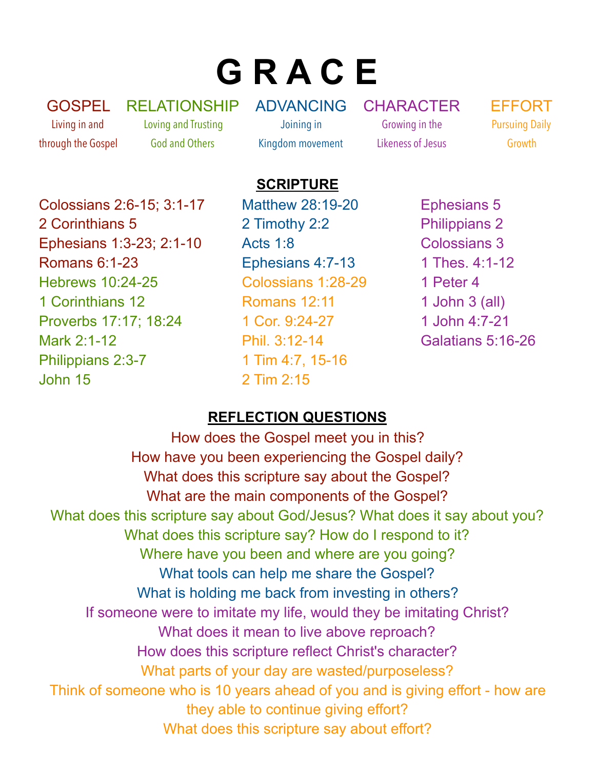# **G R A C E**

GOSPEL Living in and through the Gospel RELATIONSHIP Loving and Trusting God and Others

ADVANCING Joining in Kingdom movement

CHARACTER Growing in the Likeness of Jesus

EFFORT Pursuing Daily Growth

#### **SCRIPTURE**

Colossians 2:6-15; 3:1-17 2 Corinthians 5 Ephesians 1:3-23; 2:1-10 Romans 6:1-23 Hebrews 10:24-25 1 Corinthians 12 Proverbs 17:17; 18:24 Mark 2:1-12 Philippians 2:3-7 John 15

Matthew 28:19-20 2 Timothy 2:2 Acts 1:8 Ephesians 4:7-13 Colossians 1:28-29 Romans 12:11 1 Cor. 9:24-27 Phil. 3:12-14 1 Tim 4:7, 15-16 2 Tim 2:15

Ephesians 5 Philippians 2 Colossians 3 1 Thes. 4:1-12 1 Peter 4 1 John 3 (all) 1 John 4:7-21 Galatians 5:16-26

#### **REFLECTION QUESTIONS**

How does the Gospel meet you in this? How have you been experiencing the Gospel daily? What does this scripture say about the Gospel? What are the main components of the Gospel? What does this scripture say about God/Jesus? What does it say about you? What does this scripture say? How do I respond to it? Where have you been and where are you going? What tools can help me share the Gospel? What is holding me back from investing in others? If someone were to imitate my life, would they be imitating Christ? What does it mean to live above reproach? How does this scripture reflect Christ's character? What parts of your day are wasted/purposeless? Think of someone who is 10 years ahead of you and is giving effort - how are they able to continue giving effort? What does this scripture say about effort?